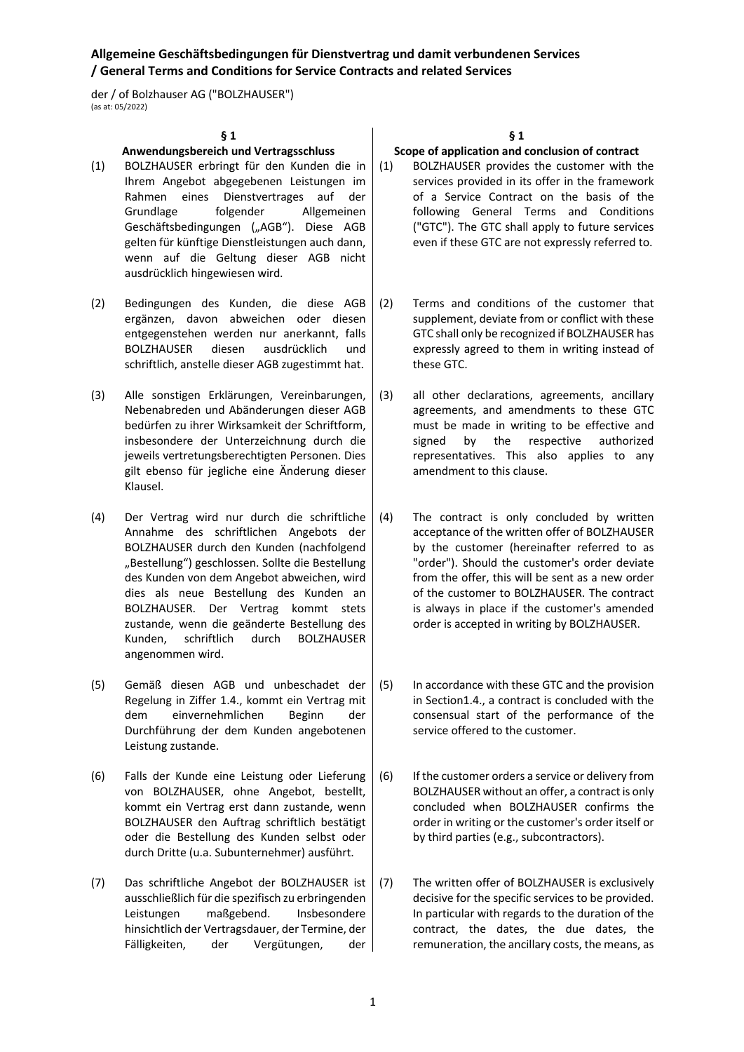der / of Bolzhauser AG ("BOLZHAUSER") (as at: 05/2022)

### **§ 1**

### **Anwendungsbereich und Vertragsschluss**

- (1) BOLZHAUSER erbringt für den Kunden die in Ihrem Angebot abgegebenen Leistungen im Rahmen eines Dienstvertrages auf der Grundlage folgender Allgemeinen Geschäftsbedingungen ("AGB"). Diese AGB gelten für künftige Dienstleistungen auch dann, wenn auf die Geltung dieser AGB nicht ausdrücklich hingewiesen wird.
- (2) Bedingungen des Kunden, die diese AGB ergänzen, davon abweichen oder diesen entgegenstehen werden nur anerkannt, falls BOLZHAUSER diesen ausdrücklich und schriftlich, anstelle dieser AGB zugestimmt hat.
- (3) Alle sonstigen Erklärungen, Vereinbarungen, Nebenabreden und Abänderungen dieser AGB bedürfen zu ihrer Wirksamkeit der Schriftform, insbesondere der Unterzeichnung durch die jeweils vertretungsberechtigten Personen. Dies gilt ebenso für jegliche eine Änderung dieser Klausel.
- (4) Der Vertrag wird nur durch die schriftliche Annahme des schriftlichen Angebots der BOLZHAUSER durch den Kunden (nachfolgend "Bestellung") geschlossen. Sollte die Bestellung des Kunden von dem Angebot abweichen, wird dies als neue Bestellung des Kunden an BOLZHAUSER. Der Vertrag kommt stets zustande, wenn die geänderte Bestellung des Kunden, schriftlich durch BOLZHAUSER angenommen wird.
- (5) Gemäß diesen AGB und unbeschadet der Regelung in Ziffer 1.4., kommt ein Vertrag mit dem einvernehmlichen Beginn der Durchführung der dem Kunden angebotenen Leistung zustande.
- (6) Falls der Kunde eine Leistung oder Lieferung von BOLZHAUSER, ohne Angebot, bestellt, kommt ein Vertrag erst dann zustande, wenn BOLZHAUSER den Auftrag schriftlich bestätigt oder die Bestellung des Kunden selbst oder durch Dritte (u.a. Subunternehmer) ausführt.
- (7) Das schriftliche Angebot der BOLZHAUSER ist ausschließlich für die spezifisch zu erbringenden Leistungen maßgebend. Insbesondere hinsichtlich der Vertragsdauer, der Termine, der Fälligkeiten, der Vergütungen, der

**§ 1**

#### **Scope of application and conclusion of contract**

- (1) BOLZHAUSER provides the customer with the services provided in its offer in the framework of a Service Contract on the basis of the following General Terms and Conditions ("GTC"). The GTC shall apply to future services even if these GTC are not expressly referred to.
- (2) Terms and conditions of the customer that supplement, deviate from or conflict with these GTC shall only be recognized if BOLZHAUSER has expressly agreed to them in writing instead of these GTC.
- (3) all other declarations, agreements, ancillary agreements, and amendments to these GTC must be made in writing to be effective and signed by the respective authorized representatives. This also applies to any amendment to this clause.
- (4) The contract is only concluded by written acceptance of the written offer of BOLZHAUSER by the customer (hereinafter referred to as "order"). Should the customer's order deviate from the offer, this will be sent as a new order of the customer to BOLZHAUSER. The contract is always in place if the customer's amended order is accepted in writing by BOLZHAUSER.
- (5) In accordance with these GTC and the provision in Section1.4., a contract is concluded with the consensual start of the performance of the service offered to the customer.
- (6) If the customer orders a service or delivery from BOLZHAUSER without an offer, a contract is only concluded when BOLZHAUSER confirms the order in writing or the customer's order itself or by third parties (e.g., subcontractors).
- (7) The written offer of BOLZHAUSER is exclusively decisive for the specific services to be provided. In particular with regards to the duration of the contract, the dates, the due dates, the remuneration, the ancillary costs, the means, as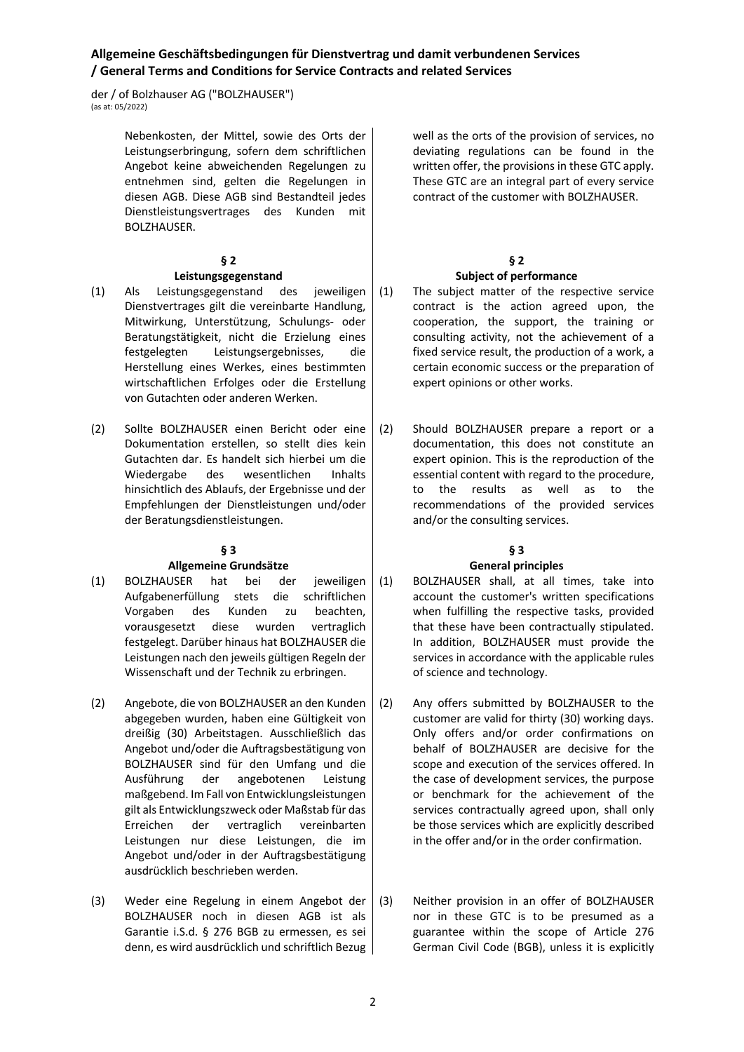der / of Bolzhauser AG ("BOLZHAUSER") (as at: 05/2022)

> Nebenkosten, der Mittel, sowie des Orts der Leistungserbringung, sofern dem schriftlichen Angebot keine abweichenden Regelungen zu entnehmen sind, gelten die Regelungen in diesen AGB. Diese AGB sind Bestandteil jedes Dienstleistungsvertrages des Kunden mit BOLZHAUSER.

## **§ 2**

## **Leistungsgegenstand**

- (1) Als Leistungsgegenstand des jeweiligen Dienstvertrages gilt die vereinbarte Handlung, Mitwirkung, Unterstützung, Schulungs- oder Beratungstätigkeit, nicht die Erzielung eines festgelegten Leistungsergebnisses, die Herstellung eines Werkes, eines bestimmten wirtschaftlichen Erfolges oder die Erstellung von Gutachten oder anderen Werken.
- (2) Sollte BOLZHAUSER einen Bericht oder eine Dokumentation erstellen, so stellt dies kein Gutachten dar. Es handelt sich hierbei um die Wiedergabe des wesentlichen Inhalts hinsichtlich des Ablaufs, der Ergebnisse und der Empfehlungen der Dienstleistungen und/oder der Beratungsdienstleistungen.

## **§ 3**

## **Allgemeine Grundsätze**

- (1) BOLZHAUSER hat bei der jeweiligen Aufgabenerfüllung stets die schriftlichen Vorgaben des Kunden zu beachten, vorausgesetzt diese wurden vertraglich festgelegt. Darüber hinaus hat BOLZHAUSER die Leistungen nach den jeweils gültigen Regeln der Wissenschaft und der Technik zu erbringen.
- (2) Angebote, die von BOLZHAUSER an den Kunden abgegeben wurden, haben eine Gültigkeit von dreißig (30) Arbeitstagen. Ausschließlich das Angebot und/oder die Auftragsbestätigung von BOLZHAUSER sind für den Umfang und die Ausführung der angebotenen Leistung maßgebend. Im Fall von Entwicklungsleistungen gilt als Entwicklungszweck oder Maßstab für das Erreichen der vertraglich vereinbarten Leistungen nur diese Leistungen, die im Angebot und/oder in der Auftragsbestätigung ausdrücklich beschrieben werden.
- (3) Weder eine Regelung in einem Angebot der BOLZHAUSER noch in diesen AGB ist als Garantie i.S.d. § 276 BGB zu ermessen, es sei denn, es wird ausdrücklich und schriftlich Bezug

well as the orts of the provision of services, no deviating regulations can be found in the written offer, the provisions in these GTC apply. These GTC are an integral part of every service contract of the customer with BOLZHAUSER.

### **§ 2 Subject of performance**

- (1) The subject matter of the respective service contract is the action agreed upon, the cooperation, the support, the training or consulting activity, not the achievement of a fixed service result, the production of a work, a certain economic success or the preparation of expert opinions or other works.
- (2) Should BOLZHAUSER prepare a report or a documentation, this does not constitute an expert opinion. This is the reproduction of the essential content with regard to the procedure, to the results as well as to the recommendations of the provided services and/or the consulting services.

# **§ 3**

## **General principles**

- (1) BOLZHAUSER shall, at all times, take into account the customer's written specifications when fulfilling the respective tasks, provided that these have been contractually stipulated. In addition, BOLZHAUSER must provide the services in accordance with the applicable rules of science and technology.
- (2) Any offers submitted by BOLZHAUSER to the customer are valid for thirty (30) working days. Only offers and/or order confirmations on behalf of BOLZHAUSER are decisive for the scope and execution of the services offered. In the case of development services, the purpose or benchmark for the achievement of the services contractually agreed upon, shall only be those services which are explicitly described in the offer and/or in the order confirmation.
- (3) Neither provision in an offer of BOLZHAUSER nor in these GTC is to be presumed as a guarantee within the scope of Article 276 German Civil Code (BGB), unless it is explicitly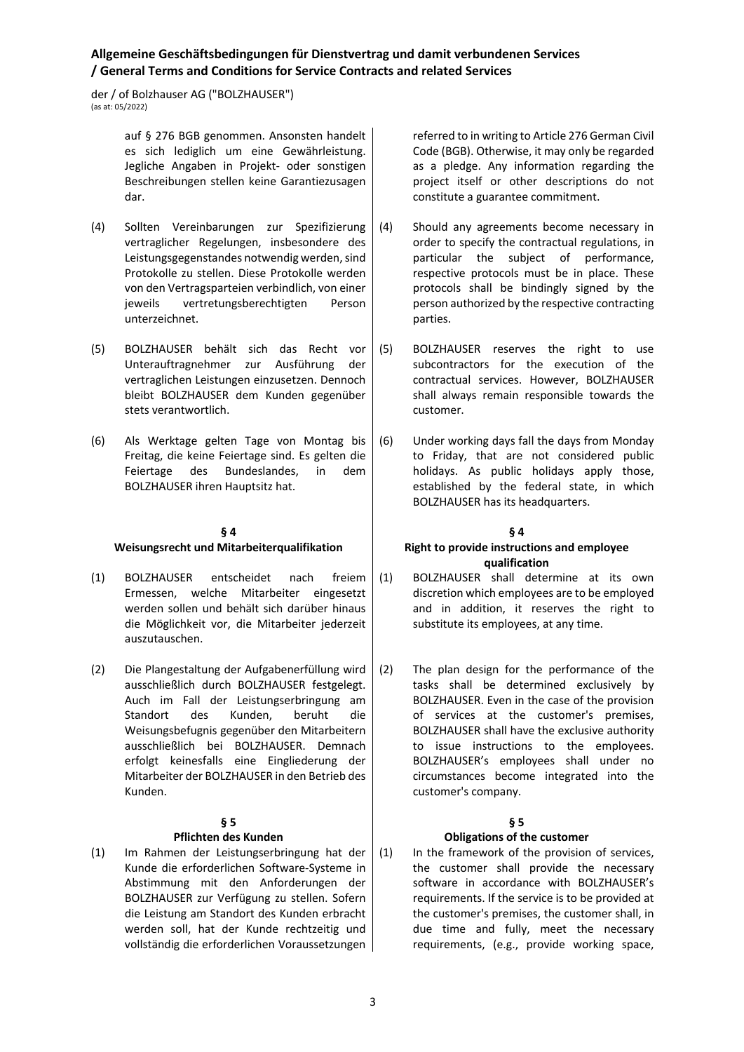der / of Bolzhauser AG ("BOLZHAUSER") (as at: 05/2022)

> auf § 276 BGB genommen. Ansonsten handelt es sich lediglich um eine Gewährleistung. Jegliche Angaben in Projekt- oder sonstigen Beschreibungen stellen keine Garantiezusagen dar.

- (4) Sollten Vereinbarungen zur Spezifizierung vertraglicher Regelungen, insbesondere des Leistungsgegenstandes notwendig werden, sind Protokolle zu stellen. Diese Protokolle werden von den Vertragsparteien verbindlich, von einer jeweils vertretungsberechtigten Person unterzeichnet.
- (5) BOLZHAUSER behält sich das Recht vor Unterauftragnehmer zur Ausführung der vertraglichen Leistungen einzusetzen. Dennoch bleibt BOLZHAUSER dem Kunden gegenüber stets verantwortlich.
- (6) Als Werktage gelten Tage von Montag bis Freitag, die keine Feiertage sind. Es gelten die Feiertage des Bundeslandes, in dem BOLZHAUSER ihren Hauptsitz hat.

## **§ 4**

## **Weisungsrecht und Mitarbeiterqualifikation**

- (1) BOLZHAUSER entscheidet nach freiem Ermessen, welche Mitarbeiter eingesetzt werden sollen und behält sich darüber hinaus die Möglichkeit vor, die Mitarbeiter jederzeit auszutauschen.
- (2) Die Plangestaltung der Aufgabenerfüllung wird ausschließlich durch BOLZHAUSER festgelegt. Auch im Fall der Leistungserbringung am Standort des Kunden, beruht die Weisungsbefugnis gegenüber den Mitarbeitern ausschließlich bei BOLZHAUSER. Demnach erfolgt keinesfalls eine Eingliederung der Mitarbeiter der BOLZHAUSER in den Betrieb des Kunden.

## **§ 5**

## **Pflichten des Kunden**

(1) Im Rahmen der Leistungserbringung hat der Kunde die erforderlichen Software-Systeme in Abstimmung mit den Anforderungen der BOLZHAUSER zur Verfügung zu stellen. Sofern die Leistung am Standort des Kunden erbracht werden soll, hat der Kunde rechtzeitig und vollständig die erforderlichen Voraussetzungen

referred to in writing to Article 276 German Civil Code (BGB). Otherwise, it may only be regarded as a pledge. Any information regarding the project itself or other descriptions do not constitute a guarantee commitment.

- (4) Should any agreements become necessary in order to specify the contractual regulations, in particular the subject of performance, respective protocols must be in place. These protocols shall be bindingly signed by the person authorized by the respective contracting parties.
- (5) BOLZHAUSER reserves the right to use subcontractors for the execution of the contractual services. However, BOLZHAUSER shall always remain responsible towards the customer.
- (6) Under working days fall the days from Monday to Friday, that are not considered public holidays. As public holidays apply those, established by the federal state, in which BOLZHAUSER has its headquarters.

# **§ 4**

### **Right to provide instructions and employee qualification**

- (1) BOLZHAUSER shall determine at its own discretion which employees are to be employed and in addition, it reserves the right to substitute its employees, at any time.
- (2) The plan design for the performance of the tasks shall be determined exclusively by BOLZHAUSER. Even in the case of the provision of services at the customer's premises, BOLZHAUSER shall have the exclusive authority to issue instructions to the employees. BOLZHAUSER's employees shall under no circumstances become integrated into the customer's company.

# **§ 5**

# **Obligations of the customer**

(1) In the framework of the provision of services, the customer shall provide the necessary software in accordance with BOLZHAUSER's requirements. If the service is to be provided at the customer's premises, the customer shall, in due time and fully, meet the necessary requirements, (e.g., provide working space,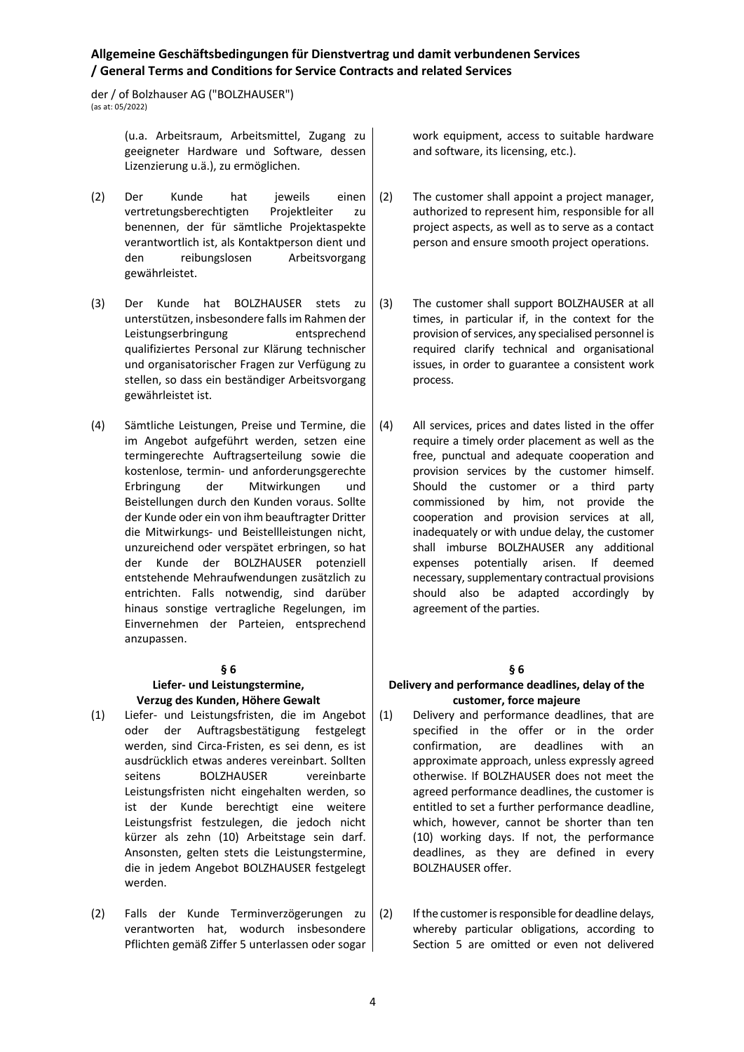der / of Bolzhauser AG ("BOLZHAUSER")  $\frac{1}{2}$  (as at: 05/2022)

> (u.a. Arbeitsraum, Arbeitsmittel, Zugang zu geeigneter Hardware und Software, dessen Lizenzierung u.ä.), zu ermöglichen.

- (2) Der Kunde hat jeweils einen vertretungsberechtigten Projektleiter zu benennen, der für sämtliche Projektaspekte verantwortlich ist, als Kontaktperson dient und den reibungslosen Arbeitsvorgang gewährleistet.
- (3) Der Kunde hat BOLZHAUSER stets zu unterstützen, insbesondere falls im Rahmen der Leistungserbringung entsprechend qualifiziertes Personal zur Klärung technischer und organisatorischer Fragen zur Verfügung zu stellen, so dass ein beständiger Arbeitsvorgang gewährleistet ist.
- (4) Sämtliche Leistungen, Preise und Termine, die im Angebot aufgeführt werden, setzen eine termingerechte Auftragserteilung sowie die kostenlose, termin- und anforderungsgerechte Erbringung der Mitwirkungen und Beistellungen durch den Kunden voraus. Sollte der Kunde oder ein von ihm beauftragter Dritter die Mitwirkungs- und Beistellleistungen nicht, unzureichend oder verspätet erbringen, so hat der Kunde der BOLZHAUSER potenziell entstehende Mehraufwendungen zusätzlich zu entrichten. Falls notwendig, sind darüber hinaus sonstige vertragliche Regelungen, im Einvernehmen der Parteien, entsprechend anzupassen.

## **§ 6**

### **Liefer- und Leistungstermine, Verzug des Kunden, Höhere Gewalt**

- (1) Liefer- und Leistungsfristen, die im Angebot oder der Auftragsbestätigung festgelegt werden, sind Circa-Fristen, es sei denn, es ist ausdrücklich etwas anderes vereinbart. Sollten seitens BOLZHAUSER vereinbarte Leistungsfristen nicht eingehalten werden, so ist der Kunde berechtigt eine weitere Leistungsfrist festzulegen, die jedoch nicht kürzer als zehn (10) Arbeitstage sein darf. Ansonsten, gelten stets die Leistungstermine, die in jedem Angebot BOLZHAUSER festgelegt werden.
- (2) Falls der Kunde Terminverzögerungen zu verantworten hat, wodurch insbesondere Pflichten gemäß Ziffer 5 unterlassen oder sogar

work equipment, access to suitable hardware and software, its licensing, etc.).

- (2) The customer shall appoint a project manager, authorized to represent him, responsible for all project aspects, as well as to serve as a contact person and ensure smooth project operations.
- (3) The customer shall support BOLZHAUSER at all times, in particular if, in the context for the provision of services, any specialised personnel is required clarify technical and organisational issues, in order to guarantee a consistent work process.
- (4) All services, prices and dates listed in the offer require a timely order placement as well as the free, punctual and adequate cooperation and provision services by the customer himself. Should the customer or a third party commissioned by him, not provide the cooperation and provision services at all, inadequately or with undue delay, the customer shall imburse BOLZHAUSER any additional expenses potentially arisen. If deemed necessary, supplementary contractual provisions should also be adapted accordingly by agreement of the parties.

## **§ 6**

### **Delivery and performance deadlines, delay of the customer, force majeure**

- (1) Delivery and performance deadlines, that are specified in the offer or in the order confirmation, are deadlines with an approximate approach, unless expressly agreed otherwise. If BOLZHAUSER does not meet the agreed performance deadlines, the customer is entitled to set a further performance deadline, which, however, cannot be shorter than ten (10) working days. If not, the performance deadlines, as they are defined in every BOLZHAUSER offer.
- (2) If the customer is responsible for deadline delays, whereby particular obligations, according to Section 5 are omitted or even not delivered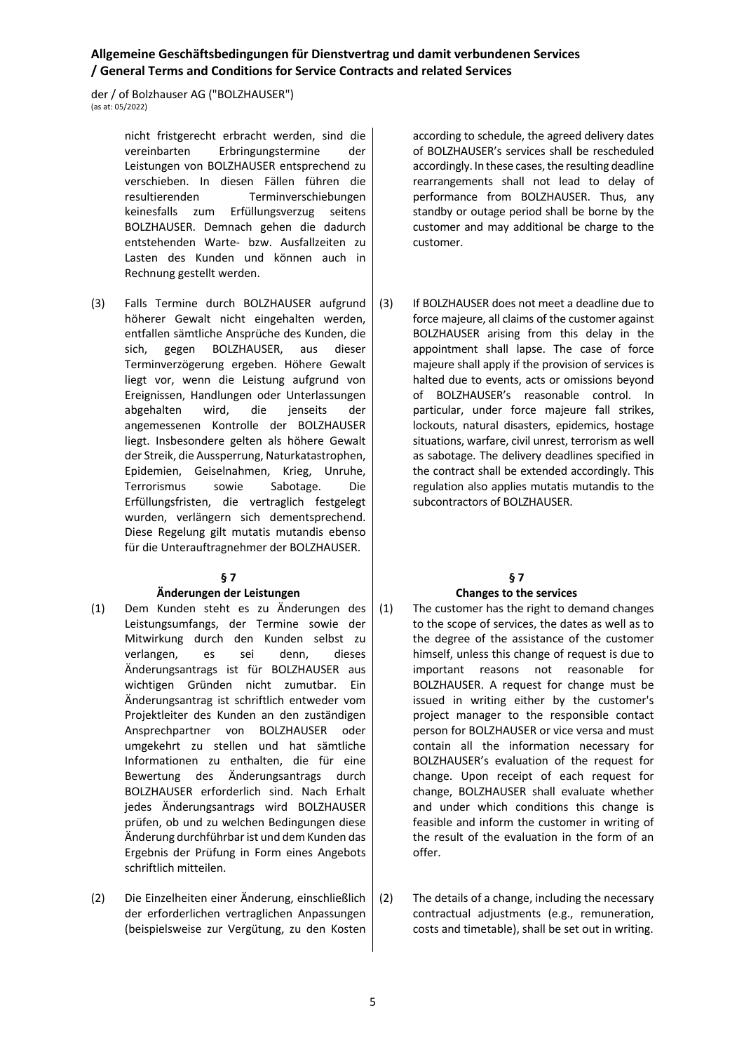der / of Bolzhauser AG ("BOLZHAUSER") (as at: 05/2022)

> nicht fristgerecht erbracht werden, sind die vereinbarten Erbringungstermine der Leistungen von BOLZHAUSER entsprechend zu verschieben. In diesen Fällen führen die resultierenden Terminverschiebungen keinesfalls zum Erfüllungsverzug seitens BOLZHAUSER. Demnach gehen die dadurch entstehenden Warte- bzw. Ausfallzeiten zu Lasten des Kunden und können auch in Rechnung gestellt werden.

(3) Falls Termine durch BOLZHAUSER aufgrund höherer Gewalt nicht eingehalten werden, entfallen sämtliche Ansprüche des Kunden, die sich, gegen BOLZHAUSER, aus dieser Terminverzögerung ergeben. Höhere Gewalt liegt vor, wenn die Leistung aufgrund von Ereignissen, Handlungen oder Unterlassungen abgehalten wird, die jenseits der angemessenen Kontrolle der BOLZHAUSER liegt. Insbesondere gelten als höhere Gewalt der Streik, die Aussperrung, Naturkatastrophen, Epidemien, Geiselnahmen, Krieg, Unruhe, Terrorismus sowie Sabotage. Die Erfüllungsfristen, die vertraglich festgelegt wurden, verlängern sich dementsprechend. Diese Regelung gilt mutatis mutandis ebenso für die Unterauftragnehmer der BOLZHAUSER.

## **§ 7**

## **Änderungen der Leistungen**

- (1) Dem Kunden steht es zu Änderungen des Leistungsumfangs, der Termine sowie der Mitwirkung durch den Kunden selbst zu verlangen, es sei denn, dieses Änderungsantrags ist für BOLZHAUSER aus wichtigen Gründen nicht zumutbar. Ein Änderungsantrag ist schriftlich entweder vom Projektleiter des Kunden an den zuständigen Ansprechpartner von BOLZHAUSER oder umgekehrt zu stellen und hat sämtliche Informationen zu enthalten, die für eine Bewertung des Änderungsantrags durch BOLZHAUSER erforderlich sind. Nach Erhalt jedes Änderungsantrags wird BOLZHAUSER prüfen, ob und zu welchen Bedingungen diese Änderung durchführbar ist und dem Kunden das Ergebnis der Prüfung in Form eines Angebots schriftlich mitteilen.
- (2) Die Einzelheiten einer Änderung, einschließlich der erforderlichen vertraglichen Anpassungen (beispielsweise zur Vergütung, zu den Kosten

according to schedule, the agreed delivery dates of BOLZHAUSER's services shall be rescheduled accordingly. In these cases, the resulting deadline rearrangements shall not lead to delay of performance from BOLZHAUSER. Thus, any standby or outage period shall be borne by the customer and may additional be charge to the customer.

(3) If BOLZHAUSER does not meet a deadline due to force majeure, all claims of the customer against BOLZHAUSER arising from this delay in the appointment shall lapse. The case of force majeure shall apply if the provision of services is halted due to events, acts or omissions beyond of BOLZHAUSER's reasonable control. In particular, under force majeure fall strikes, lockouts, natural disasters, epidemics, hostage situations, warfare, civil unrest, terrorism as well as sabotage. The delivery deadlines specified in the contract shall be extended accordingly. This regulation also applies mutatis mutandis to the subcontractors of BOLZHAUSER.

# **§ 7**

# **Changes to the services**

- (1) The customer has the right to demand changes to the scope of services, the dates as well as to the degree of the assistance of the customer himself, unless this change of request is due to important reasons not reasonable for BOLZHAUSER. A request for change must be issued in writing either by the customer's project manager to the responsible contact person for BOLZHAUSER or vice versa and must contain all the information necessary for BOLZHAUSER's evaluation of the request for change. Upon receipt of each request for change, BOLZHAUSER shall evaluate whether and under which conditions this change is feasible and inform the customer in writing of the result of the evaluation in the form of an offer.
- (2) The details of a change, including the necessary contractual adjustments (e.g., remuneration, costs and timetable), shall be set out in writing.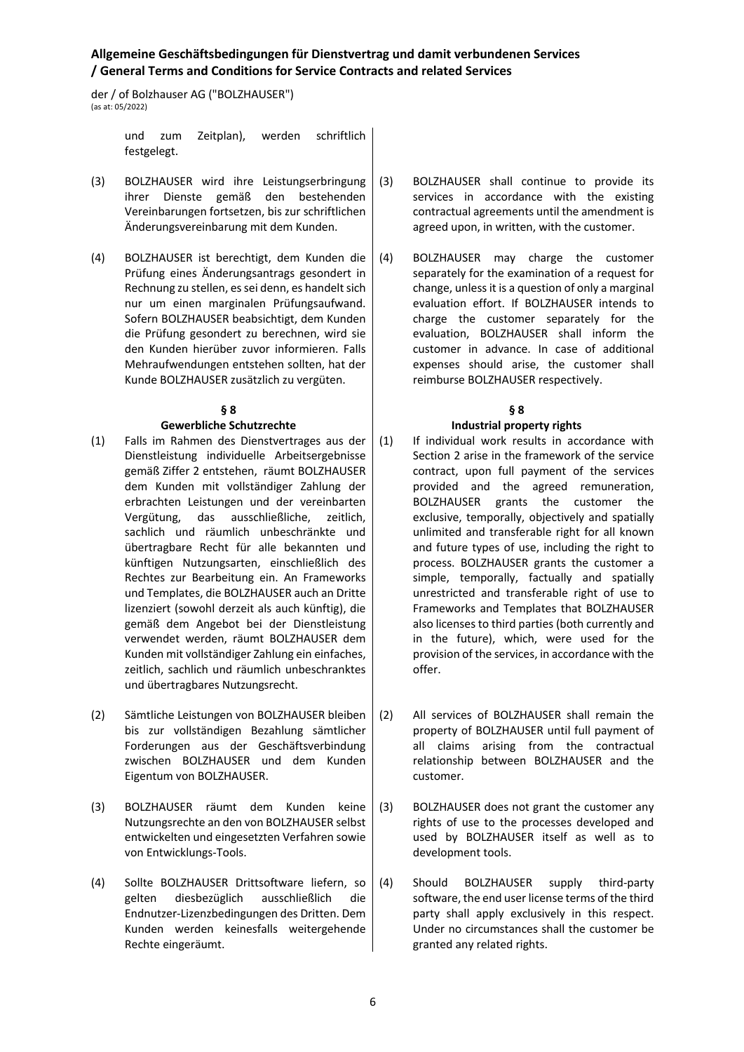der / of Bolzhauser AG ("BOLZHAUSER")  $(\text{ac at: } 05/2022)$ 

> und zum Zeitplan), werden schriftlich festgelegt.

- (3) BOLZHAUSER wird ihre Leistungserbringung ihrer Dienste gemäß den bestehenden Vereinbarungen fortsetzen, bis zur schriftlichen Änderungsvereinbarung mit dem Kunden.
- (4) BOLZHAUSER ist berechtigt, dem Kunden die Prüfung eines Änderungsantrags gesondert in Rechnung zu stellen, es sei denn, es handelt sich nur um einen marginalen Prüfungsaufwand. Sofern BOLZHAUSER beabsichtigt, dem Kunden die Prüfung gesondert zu berechnen, wird sie den Kunden hierüber zuvor informieren. Falls Mehraufwendungen entstehen sollten, hat der Kunde BOLZHAUSER zusätzlich zu vergüten.

## **§ 8**

### **Gewerbliche Schutzrechte**

- (1) Falls im Rahmen des Dienstvertrages aus der Dienstleistung individuelle Arbeitsergebnisse gemäß Ziffer 2 entstehen, räumt BOLZHAUSER dem Kunden mit vollständiger Zahlung der erbrachten Leistungen und der vereinbarten Vergütung, das ausschließliche, zeitlich, sachlich und räumlich unbeschränkte und übertragbare Recht für alle bekannten und künftigen Nutzungsarten, einschließlich des Rechtes zur Bearbeitung ein. An Frameworks und Templates, die BOLZHAUSER auch an Dritte lizenziert (sowohl derzeit als auch künftig), die gemäß dem Angebot bei der Dienstleistung verwendet werden, räumt BOLZHAUSER dem Kunden mit vollständiger Zahlung ein einfaches, zeitlich, sachlich und räumlich unbeschranktes und übertragbares Nutzungsrecht.
- (2) Sämtliche Leistungen von BOLZHAUSER bleiben bis zur vollständigen Bezahlung sämtlicher Forderungen aus der Geschäftsverbindung zwischen BOLZHAUSER und dem Kunden Eigentum von BOLZHAUSER.
- (3) BOLZHAUSER räumt dem Kunden keine Nutzungsrechte an den von BOLZHAUSER selbst entwickelten und eingesetzten Verfahren sowie von Entwicklungs-Tools.
- (4) Sollte BOLZHAUSER Drittsoftware liefern, so gelten diesbezüglich ausschließlich die Endnutzer-Lizenzbedingungen des Dritten. Dem Kunden werden keinesfalls weitergehende Rechte eingeräumt.
- (3) BOLZHAUSER shall continue to provide its services in accordance with the existing contractual agreements until the amendment is agreed upon, in written, with the customer.
- (4) BOLZHAUSER may charge the customer separately for the examination of a request for change, unless it is a question of only a marginal evaluation effort. If BOLZHAUSER intends to charge the customer separately for the evaluation, BOLZHAUSER shall inform the customer in advance. In case of additional expenses should arise, the customer shall reimburse BOLZHAUSER respectively.

## **§ 8 Industrial property rights**

- (1) If individual work results in accordance with Section 2 arise in the framework of the service contract, upon full payment of the services provided and the agreed remuneration, BOLZHAUSER grants the customer the exclusive, temporally, objectively and spatially unlimited and transferable right for all known and future types of use, including the right to process. BOLZHAUSER grants the customer a simple, temporally, factually and spatially unrestricted and transferable right of use to Frameworks and Templates that BOLZHAUSER also licenses to third parties (both currently and in the future), which, were used for the provision of the services, in accordance with the offer.
- (2) All services of BOLZHAUSER shall remain the property of BOLZHAUSER until full payment of all claims arising from the contractual relationship between BOLZHAUSER and the customer.
- (3) BOLZHAUSER does not grant the customer any rights of use to the processes developed and used by BOLZHAUSER itself as well as to development tools.
- (4) Should BOLZHAUSER supply third-party software, the end user license terms of the third party shall apply exclusively in this respect. Under no circumstances shall the customer be granted any related rights.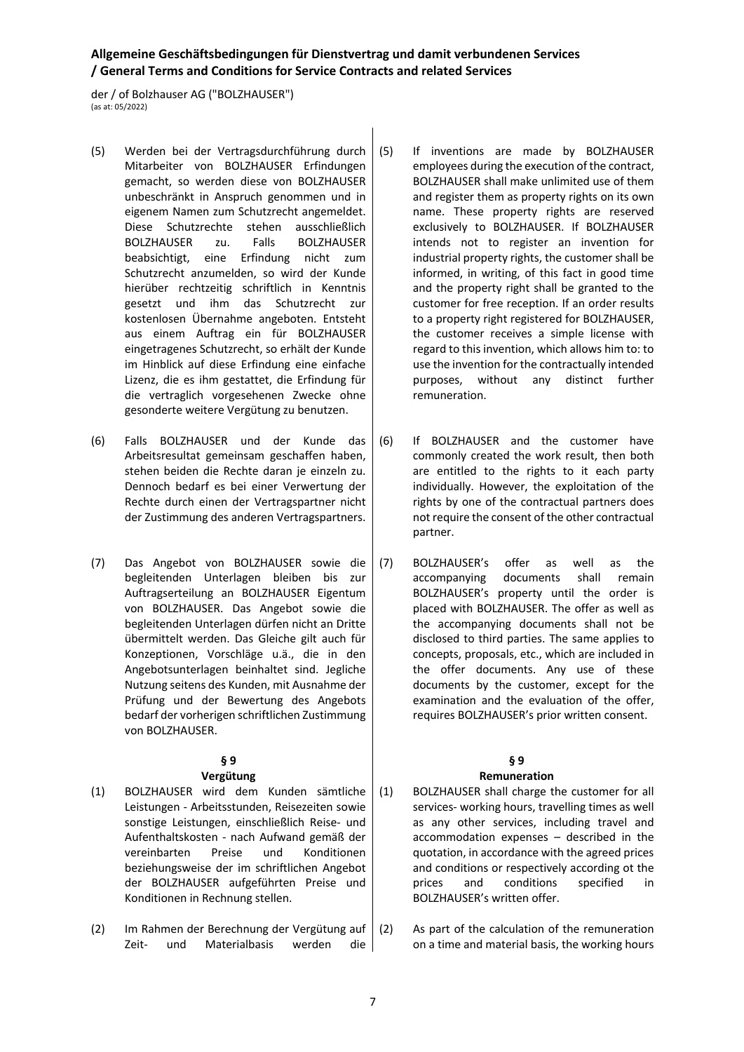der / of Bolzhauser AG ("BOLZHAUSER") (as at: 05/2022)

- (5) Werden bei der Vertragsdurchführung durch Mitarbeiter von BOLZHAUSER Erfindungen gemacht, so werden diese von BOLZHAUSER unbeschränkt in Anspruch genommen und in eigenem Namen zum Schutzrecht angemeldet. Diese Schutzrechte stehen ausschließlich BOLZHAUSER zu. Falls BOLZHAUSER beabsichtigt, eine Erfindung nicht zum Schutzrecht anzumelden, so wird der Kunde hierüber rechtzeitig schriftlich in Kenntnis gesetzt und ihm das Schutzrecht zur kostenlosen Übernahme angeboten. Entsteht aus einem Auftrag ein für BOLZHAUSER eingetragenes Schutzrecht, so erhält der Kunde im Hinblick auf diese Erfindung eine einfache Lizenz, die es ihm gestattet, die Erfindung für die vertraglich vorgesehenen Zwecke ohne gesonderte weitere Vergütung zu benutzen.
- (6) Falls BOLZHAUSER und der Kunde das Arbeitsresultat gemeinsam geschaffen haben, stehen beiden die Rechte daran je einzeln zu. Dennoch bedarf es bei einer Verwertung der Rechte durch einen der Vertragspartner nicht der Zustimmung des anderen Vertragspartners.
- (7) Das Angebot von BOLZHAUSER sowie die begleitenden Unterlagen bleiben bis zur Auftragserteilung an BOLZHAUSER Eigentum von BOLZHAUSER. Das Angebot sowie die begleitenden Unterlagen dürfen nicht an Dritte übermittelt werden. Das Gleiche gilt auch für Konzeptionen, Vorschläge u.ä., die in den Angebotsunterlagen beinhaltet sind. Jegliche Nutzung seitens des Kunden, mit Ausnahme der Prüfung und der Bewertung des Angebots bedarf der vorherigen schriftlichen Zustimmung von BOLZHAUSER.

## **§ 9**

## **Vergütung**

- (1) BOLZHAUSER wird dem Kunden sämtliche Leistungen - Arbeitsstunden, Reisezeiten sowie sonstige Leistungen, einschließlich Reise- und Aufenthaltskosten - nach Aufwand gemäß der vereinbarten Preise und Konditionen beziehungsweise der im schriftlichen Angebot der BOLZHAUSER aufgeführten Preise und Konditionen in Rechnung stellen.
- (2) Im Rahmen der Berechnung der Vergütung auf Zeit- und Materialbasis werden die
- (5) If inventions are made by BOLZHAUSER employees during the execution of the contract, BOLZHAUSER shall make unlimited use of them and register them as property rights on its own name. These property rights are reserved exclusively to BOLZHAUSER. If BOLZHAUSER intends not to register an invention for industrial property rights, the customer shall be informed, in writing, of this fact in good time and the property right shall be granted to the customer for free reception. If an order results to a property right registered for BOLZHAUSER, the customer receives a simple license with regard to this invention, which allows him to: to use the invention for the contractually intended purposes, without any distinct further remuneration.
- (6) If BOLZHAUSER and the customer have commonly created the work result, then both are entitled to the rights to it each party individually. However, the exploitation of the rights by one of the contractual partners does not require the consent of the other contractual partner.
- (7) BOLZHAUSER's offer as well as the accompanying documents shall remain BOLZHAUSER's property until the order is placed with BOLZHAUSER. The offer as well as the accompanying documents shall not be disclosed to third parties. The same applies to concepts, proposals, etc., which are included in the offer documents. Any use of these documents by the customer, except for the examination and the evaluation of the offer, requires BOLZHAUSER's prior written consent.

# **§ 9**

# **Remuneration**

- (1) BOLZHAUSER shall charge the customer for all services- working hours, travelling times as well as any other services, including travel and accommodation expenses – described in the quotation, in accordance with the agreed prices and conditions or respectively according ot the prices and conditions specified in BOLZHAUSER's written offer.
- (2) As part of the calculation of the remuneration on a time and material basis, the working hours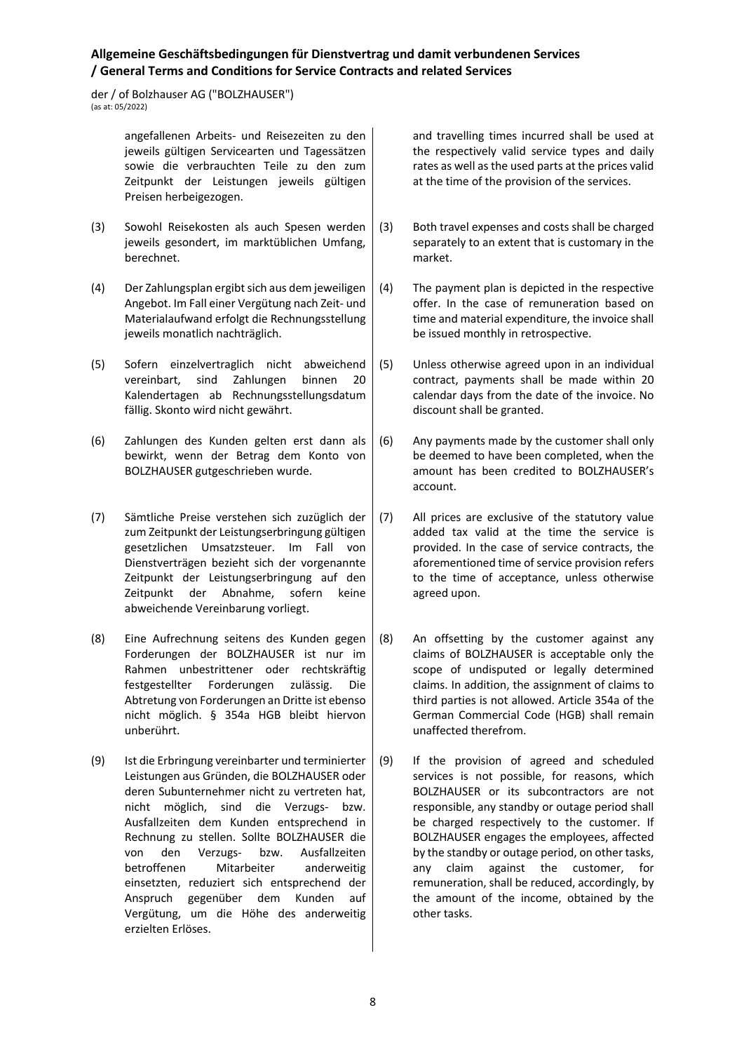der / of Bolzhauser AG ("BOLZHAUSER") (as at: 05/2022)

> angefallenen Arbeits- und Reisezeiten zu den jeweils gültigen Servicearten und Tagessätzen sowie die verbrauchten Teile zu den zum Zeitpunkt der Leistungen jeweils gültigen Preisen herbeigezogen.

- (3) Sowohl Reisekosten als auch Spesen werden jeweils gesondert, im marktüblichen Umfang, berechnet.
- (4) Der Zahlungsplan ergibt sich aus dem jeweiligen Angebot. Im Fall einer Vergütung nach Zeit- und Materialaufwand erfolgt die Rechnungsstellung jeweils monatlich nachträglich.
- (5) Sofern einzelvertraglich nicht abweichend vereinbart, sind Zahlungen binnen 20 Kalendertagen ab Rechnungsstellungsdatum fällig. Skonto wird nicht gewährt.
- (6) Zahlungen des Kunden gelten erst dann als bewirkt, wenn der Betrag dem Konto von BOLZHAUSER gutgeschrieben wurde.
- (7) Sämtliche Preise verstehen sich zuzüglich der zum Zeitpunkt der Leistungserbringung gültigen gesetzlichen Umsatzsteuer. Im Fall von Dienstverträgen bezieht sich der vorgenannte Zeitpunkt der Leistungserbringung auf den Zeitpunkt der Abnahme, sofern keine abweichende Vereinbarung vorliegt.
- (8) Eine Aufrechnung seitens des Kunden gegen Forderungen der BOLZHAUSER ist nur im Rahmen unbestrittener oder rechtskräftig festgestellter Forderungen zulässig. Die Abtretung von Forderungen an Dritte ist ebenso nicht möglich. § 354a HGB bleibt hiervon unberührt.
- (9) Ist die Erbringung vereinbarter und terminierter Leistungen aus Gründen, die BOLZHAUSER oder deren Subunternehmer nicht zu vertreten hat, nicht möglich, sind die Verzugs- bzw. Ausfallzeiten dem Kunden entsprechend in Rechnung zu stellen. Sollte BOLZHAUSER die von den Verzugs- bzw. Ausfallzeiten betroffenen Mitarbeiter anderweitig einsetzten, reduziert sich entsprechend der Anspruch gegenüber dem Kunden auf Vergütung, um die Höhe des anderweitig erzielten Erlöses.

and travelling times incurred shall be used at the respectively valid service types and daily rates as well as the used parts at the prices valid at the time of the provision of the services.

- (3) Both travel expenses and costs shall be charged separately to an extent that is customary in the market.
- (4) The payment plan is depicted in the respective offer. In the case of remuneration based on time and material expenditure, the invoice shall be issued monthly in retrospective.
- (5) Unless otherwise agreed upon in an individual contract, payments shall be made within 20 calendar days from the date of the invoice. No discount shall be granted.
- (6) Any payments made by the customer shall only be deemed to have been completed, when the amount has been credited to BOLZHAUSER's account.
- (7) All prices are exclusive of the statutory value added tax valid at the time the service is provided. In the case of service contracts, the aforementioned time of service provision refers to the time of acceptance, unless otherwise agreed upon.
- (8) An offsetting by the customer against any claims of BOLZHAUSER is acceptable only the scope of undisputed or legally determined claims. In addition, the assignment of claims to third parties is not allowed. Article 354a of the German Commercial Code (HGB) shall remain unaffected therefrom.
- (9) If the provision of agreed and scheduled services is not possible, for reasons, which BOLZHAUSER or its subcontractors are not responsible, any standby or outage period shall be charged respectively to the customer. If BOLZHAUSER engages the employees, affected by the standby or outage period, on other tasks, any claim against the customer, for remuneration, shall be reduced, accordingly, by the amount of the income, obtained by the other tasks.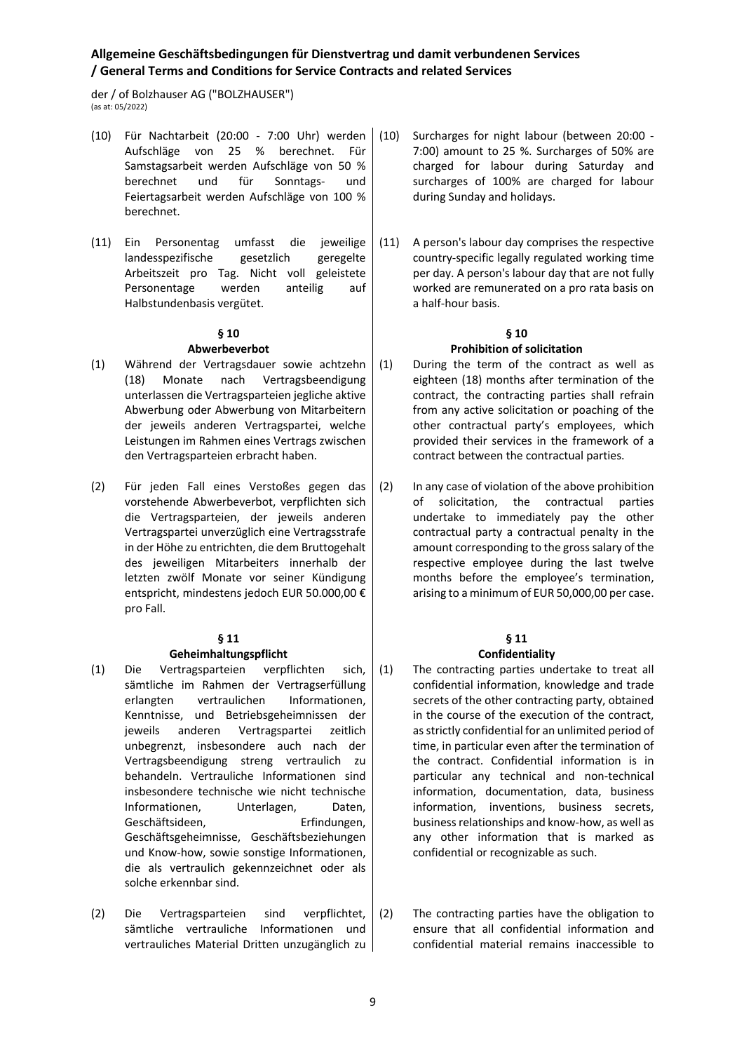der / of Bolzhauser AG ("BOLZHAUSER") (as at: 05/2022)

- (10) Für Nachtarbeit (20:00 7:00 Uhr) werden Aufschläge von 25 % berechnet. Für Samstagsarbeit werden Aufschläge von 50 % berechnet und für Sonntags- und Feiertagsarbeit werden Aufschläge von 100 % berechnet.
- (11) Ein Personentag umfasst die jeweilige landesspezifische gesetzlich geregelte Arbeitszeit pro Tag. Nicht voll geleistete Personentage werden anteilig auf Halbstundenbasis vergütet.

#### **§ 10 Abwerbeverbot**

- (1) Während der Vertragsdauer sowie achtzehn (18) Monate nach Vertragsbeendigung unterlassen die Vertragsparteien jegliche aktive Abwerbung oder Abwerbung von Mitarbeitern der jeweils anderen Vertragspartei, welche Leistungen im Rahmen eines Vertrags zwischen den Vertragsparteien erbracht haben.
- (2) Für jeden Fall eines Verstoßes gegen das vorstehende Abwerbeverbot, verpflichten sich die Vertragsparteien, der jeweils anderen Vertragspartei unverzüglich eine Vertragsstrafe in der Höhe zu entrichten, die dem Bruttogehalt des jeweiligen Mitarbeiters innerhalb der letzten zwölf Monate vor seiner Kündigung entspricht, mindestens jedoch EUR 50.000,00 € pro Fall.

## **§ 11**

## **Geheimhaltungspflicht**

- (1) Die Vertragsparteien verpflichten sich, sämtliche im Rahmen der Vertragserfüllung erlangten vertraulichen Informationen, Kenntnisse, und Betriebsgeheimnissen der jeweils anderen Vertragspartei zeitlich unbegrenzt, insbesondere auch nach der Vertragsbeendigung streng vertraulich zu behandeln. Vertrauliche Informationen sind insbesondere technische wie nicht technische Informationen, Unterlagen, Daten, Geschäftsideen, Erfindungen, Geschäftsgeheimnisse, Geschäftsbeziehungen und Know-how, sowie sonstige Informationen, die als vertraulich gekennzeichnet oder als solche erkennbar sind.
- (2) Die Vertragsparteien sind verpflichtet, sämtliche vertrauliche Informationen und vertrauliches Material Dritten unzugänglich zu
- Surcharges for night labour (between 20:00 -7:00) amount to 25 %. Surcharges of 50% are charged for labour during Saturday and surcharges of 100% are charged for labour during Sunday and holidays.
- (11) A person's labour day comprises the respective country-specific legally regulated working time per day. A person's labour day that are not fully worked are remunerated on a pro rata basis on a half-hour basis.

# **§ 10 Prohibition of solicitation**

- (1) During the term of the contract as well as eighteen (18) months after termination of the contract, the contracting parties shall refrain from any active solicitation or poaching of the other contractual party's employees, which provided their services in the framework of a contract between the contractual parties.
- (2) In any case of violation of the above prohibition of solicitation, the contractual parties undertake to immediately pay the other contractual party a contractual penalty in the amount corresponding to the gross salary of the respective employee during the last twelve months before the employee's termination, arising to a minimum of EUR 50,000,00 per case.

# **§ 11**

## **Confidentiality** (1) The contracting parties undertake to treat all confidential information, knowledge and trade secrets of the other contracting party, obtained in the course of the execution of the contract, as strictly confidential for an unlimited period of time, in particular even after the termination of the contract. Confidential information is in particular any technical and non-technical information, documentation, data, business information, inventions, business secrets, business relationships and know-how, as well as

any other information that is marked as

(2) The contracting parties have the obligation to ensure that all confidential information and confidential material remains inaccessible to

confidential or recognizable as such.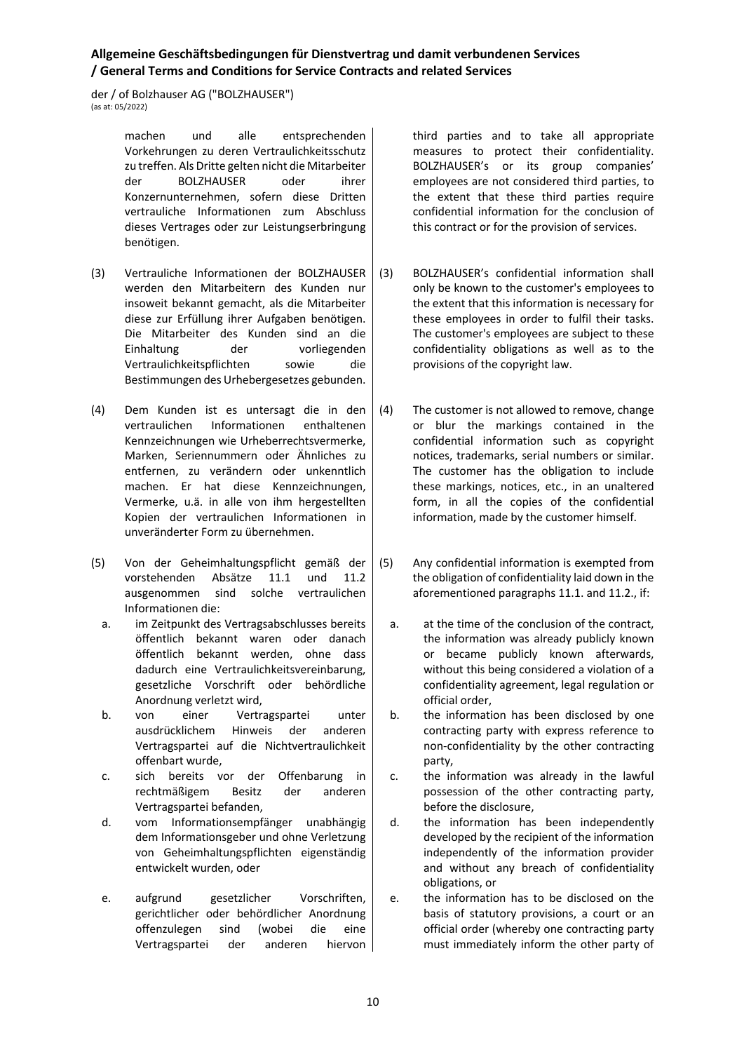der / of Bolzhauser AG ("BOLZHAUSER")  $\frac{1}{2}$  (as at: 05/2022)

> machen und alle entsprechenden Vorkehrungen zu deren Vertraulichkeitsschutz zu treffen. Als Dritte gelten nicht die Mitarbeiter der BOLZHAUSER oder ihrer Konzernunternehmen, sofern diese Dritten vertrauliche Informationen zum Abschluss dieses Vertrages oder zur Leistungserbringung benötigen.

- (3) Vertrauliche Informationen der BOLZHAUSER werden den Mitarbeitern des Kunden nur insoweit bekannt gemacht, als die Mitarbeiter diese zur Erfüllung ihrer Aufgaben benötigen. Die Mitarbeiter des Kunden sind an die Einhaltung der vorliegenden Vertraulichkeitspflichten sowie die Bestimmungen des Urhebergesetzes gebunden.
- (4) Dem Kunden ist es untersagt die in den vertraulichen Informationen enthaltenen Kennzeichnungen wie Urheberrechtsvermerke, Marken, Seriennummern oder Ähnliches zu entfernen, zu verändern oder unkenntlich machen. Er hat diese Kennzeichnungen, Vermerke, u.ä. in alle von ihm hergestellten Kopien der vertraulichen Informationen in unveränderter Form zu übernehmen.
- (5) Von der Geheimhaltungspflicht gemäß der vorstehenden Absätze 11.1 und 11.2 ausgenommen sind solche vertraulichen Informationen die:
	- a. im Zeitpunkt des Vertragsabschlusses bereits öffentlich bekannt waren oder danach öffentlich bekannt werden, ohne dass dadurch eine Vertraulichkeitsvereinbarung, gesetzliche Vorschrift oder behördliche Anordnung verletzt wird,
	- b. von einer Vertragspartei unter ausdrücklichem Hinweis der anderen Vertragspartei auf die Nichtvertraulichkeit offenbart wurde,
	- c. sich bereits vor der Offenbarung in rechtmäßigem Besitz der anderen Vertragspartei befanden,
	- d. vom Informationsempfänger unabhängig dem Informationsgeber und ohne Verletzung von Geheimhaltungspflichten eigenständig entwickelt wurden, oder
	- e. aufgrund gesetzlicher Vorschriften, gerichtlicher oder behördlicher Anordnung offenzulegen sind (wobei die eine Vertragspartei der anderen hiervon

third parties and to take all appropriate measures to protect their confidentiality. BOLZHAUSER's or its group companies' employees are not considered third parties, to the extent that these third parties require confidential information for the conclusion of this contract or for the provision of services.

- (3) BOLZHAUSER's confidential information shall only be known to the customer's employees to the extent that this information is necessary for these employees in order to fulfil their tasks. The customer's employees are subject to these confidentiality obligations as well as to the provisions of the copyright law.
- (4) The customer is not allowed to remove, change or blur the markings contained in the confidential information such as copyright notices, trademarks, serial numbers or similar. The customer has the obligation to include these markings, notices, etc., in an unaltered form, in all the copies of the confidential information, made by the customer himself.
- (5) Any confidential information is exempted from the obligation of confidentiality laid down in the aforementioned paragraphs 11.1. and 11.2., if:
	- a. at the time of the conclusion of the contract, the information was already publicly known or became publicly known afterwards, without this being considered a violation of a confidentiality agreement, legal regulation or official order,
	- b. the information has been disclosed by one contracting party with express reference to non-confidentiality by the other contracting party,
	- c. the information was already in the lawful possession of the other contracting party, before the disclosure,
	- d. the information has been independently developed by the recipient of the information independently of the information provider and without any breach of confidentiality obligations, or
	- e. the information has to be disclosed on the basis of statutory provisions, a court or an official order (whereby one contracting party must immediately inform the other party of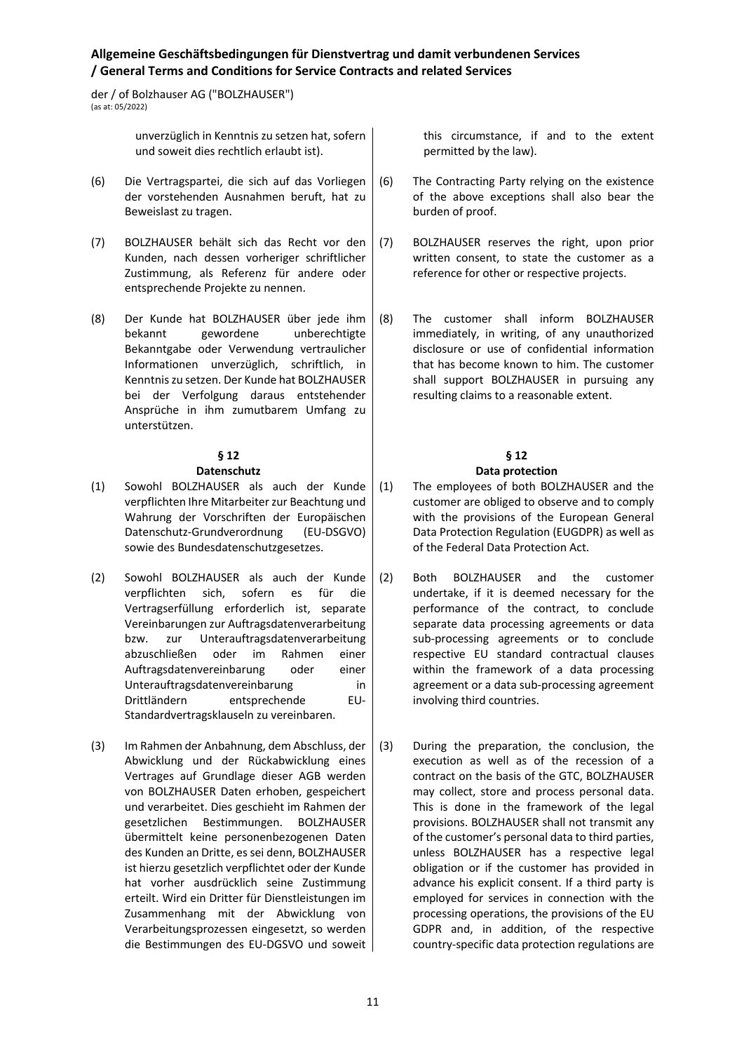der / of Bolzhauser AG ("BOLZHAUSER") (as at: 05/2022)

> unverzüglich in Kenntnis zu setzen hat, sofern und soweit dies rechtlich erlaubt ist).

- (6) Die Vertragspartei, die sich auf das Vorliegen der vorstehenden Ausnahmen beruft, hat zu Beweislast zu tragen.
- (7) BOLZHAUSER behält sich das Recht vor den Kunden, nach dessen vorheriger schriftlicher Zustimmung, als Referenz für andere oder entsprechende Projekte zu nennen.
- (8) Der Kunde hat BOLZHAUSER über jede ihm bekannt gewordene unberechtigte Bekanntgabe oder Verwendung vertraulicher Informationen unverzüglich, schriftlich, in Kenntnis zu setzen. Der Kunde hat BOLZHAUSER bei der Verfolgung daraus entstehender Ansprüche in ihm zumutbarem Umfang zu unterstützen.

# **§ 12**

## **Datenschutz**

- (1) Sowohl BOLZHAUSER als auch der Kunde verpflichten Ihre Mitarbeiter zur Beachtung und Wahrung der Vorschriften der Europäischen Datenschutz-Grundverordnung (EU-DSGVO) sowie des Bundesdatenschutzgesetzes.
- (2) Sowohl BOLZHAUSER als auch der Kunde verpflichten sich, sofern es für die Vertragserfüllung erforderlich ist, separate Vereinbarungen zur Auftragsdatenverarbeitung bzw. zur Unterauftragsdatenverarbeitung abzuschließen oder im Rahmen einer Auftragsdatenvereinbarung oder einer Unterauftragsdatenvereinbarung in Drittländern entsprechende EU-Standardvertragsklauseln zu vereinbaren.
- (3) Im Rahmen der Anbahnung, dem Abschluss, der Abwicklung und der Rückabwicklung eines Vertrages auf Grundlage dieser AGB werden von BOLZHAUSER Daten erhoben, gespeichert und verarbeitet. Dies geschieht im Rahmen der gesetzlichen Bestimmungen. BOLZHAUSER übermittelt keine personenbezogenen Daten des Kunden an Dritte, es sei denn, BOLZHAUSER ist hierzu gesetzlich verpflichtet oder der Kunde hat vorher ausdrücklich seine Zustimmung erteilt. Wird ein Dritter für Dienstleistungen im Zusammenhang mit der Abwicklung von Verarbeitungsprozessen eingesetzt, so werden die Bestimmungen des EU-DGSVO und soweit

this circumstance, if and to the extent permitted by the law).

- (6) The Contracting Party relying on the existence of the above exceptions shall also bear the burden of proof.
- (7) BOLZHAUSER reserves the right, upon prior written consent, to state the customer as a reference for other or respective projects.
- (8) The customer shall inform BOLZHAUSER immediately, in writing, of any unauthorized disclosure or use of confidential information that has become known to him. The customer shall support BOLZHAUSER in pursuing any resulting claims to a reasonable extent.

#### **§ 12 Data protection**

## (1) The employees of both BOLZHAUSER and the customer are obliged to observe and to comply with the provisions of the European General Data Protection Regulation (EUGDPR) as well as of the Federal Data Protection Act.

- (2) Both BOLZHAUSER and the customer undertake, if it is deemed necessary for the performance of the contract, to conclude separate data processing agreements or data sub-processing agreements or to conclude respective EU standard contractual clauses within the framework of a data processing agreement or a data sub-processing agreement involving third countries.
- (3) During the preparation, the conclusion, the execution as well as of the recession of a contract on the basis of the GTC, BOLZHAUSER may collect, store and process personal data. This is done in the framework of the legal provisions. BOLZHAUSER shall not transmit any of the customer's personal data to third parties, unless BOLZHAUSER has a respective legal obligation or if the customer has provided in advance his explicit consent. If a third party is employed for services in connection with the processing operations, the provisions of the EU GDPR and, in addition, of the respective country-specific data protection regulations are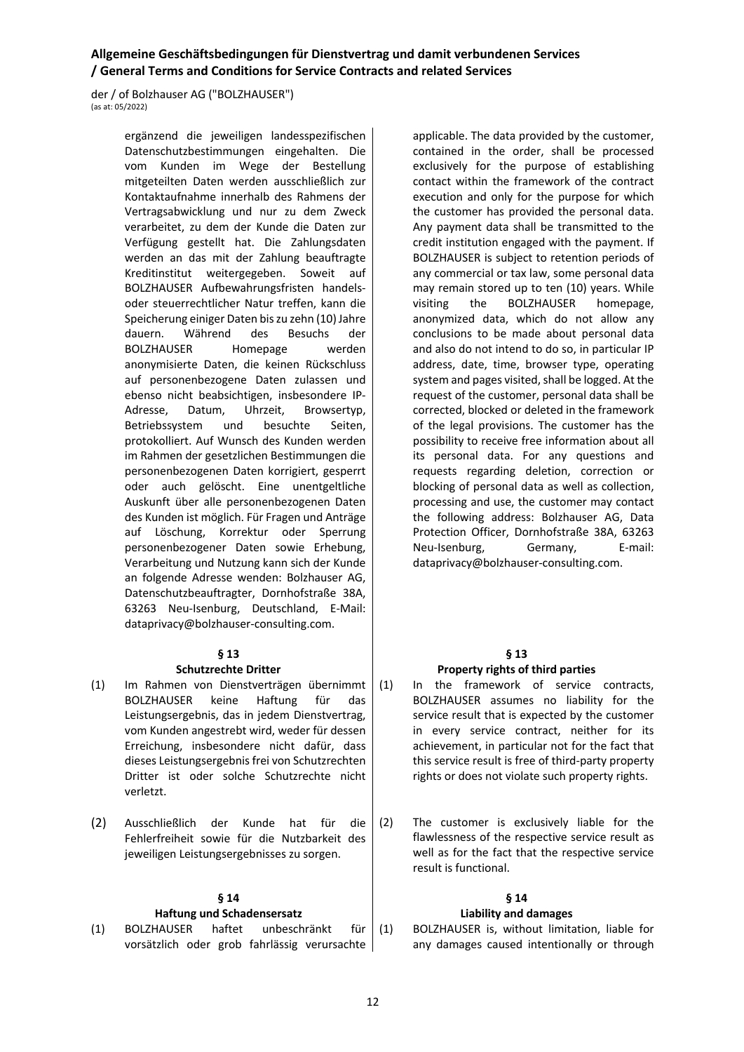der / of Bolzhauser AG ("BOLZHAUSER")  $\frac{1}{2}$  (as at: 05/2022)

> ergänzend die jeweiligen landesspezifischen Datenschutzbestimmungen eingehalten. Die vom Kunden im Wege der Bestellung mitgeteilten Daten werden ausschließlich zur Kontaktaufnahme innerhalb des Rahmens der Vertragsabwicklung und nur zu dem Zweck verarbeitet, zu dem der Kunde die Daten zur Verfügung gestellt hat. Die Zahlungsdaten werden an das mit der Zahlung beauftragte Kreditinstitut weitergegeben. Soweit auf BOLZHAUSER Aufbewahrungsfristen handelsoder steuerrechtlicher Natur treffen, kann die Speicherung einiger Daten bis zu zehn (10) Jahre dauern. Während des Besuchs der BOLZHAUSER Homepage werden anonymisierte Daten, die keinen Rückschluss auf personenbezogene Daten zulassen und ebenso nicht beabsichtigen, insbesondere IP-Adresse, Datum, Uhrzeit, Browsertyp, Betriebssystem und besuchte Seiten, protokolliert. Auf Wunsch des Kunden werden im Rahmen der gesetzlichen Bestimmungen die personenbezogenen Daten korrigiert, gesperrt oder auch gelöscht. Eine unentgeltliche Auskunft über alle personenbezogenen Daten des Kunden ist möglich. Für Fragen und Anträge auf Löschung, Korrektur oder Sperrung personenbezogener Daten sowie Erhebung, Verarbeitung und Nutzung kann sich der Kunde an folgende Adresse wenden: Bolzhauser AG, Datenschutzbeauftragter, Dornhofstraße 38A, 63263 Neu-Isenburg, Deutschland, E-Mail: dataprivacy@bolzhauser-consulting.com.

### **§ 13**

### **Schutzrechte Dritter**

- (1) Im Rahmen von Dienstverträgen übernimmt BOLZHAUSER keine Haftung für das Leistungsergebnis, das in jedem Dienstvertrag, vom Kunden angestrebt wird, weder für dessen Erreichung, insbesondere nicht dafür, dass dieses Leistungsergebnis frei von Schutzrechten Dritter ist oder solche Schutzrechte nicht verletzt.
- (2) Ausschließlich der Kunde hat für die Fehlerfreiheit sowie für die Nutzbarkeit des jeweiligen Leistungsergebnisses zu sorgen.

### **§ 14**

### **Haftung und Schadensersatz**

(1) BOLZHAUSER haftet unbeschränkt für vorsätzlich oder grob fahrlässig verursachte

applicable. The data provided by the customer, contained in the order, shall be processed exclusively for the purpose of establishing contact within the framework of the contract execution and only for the purpose for which the customer has provided the personal data. Any payment data shall be transmitted to the credit institution engaged with the payment. If BOLZHAUSER is subject to retention periods of any commercial or tax law, some personal data may remain stored up to ten (10) years. While visiting the BOLZHAUSER homepage, anonymized data, which do not allow any conclusions to be made about personal data and also do not intend to do so, in particular IP address, date, time, browser type, operating system and pages visited, shall be logged. At the request of the customer, personal data shall be corrected, blocked or deleted in the framework of the legal provisions. The customer has the possibility to receive free information about all its personal data. For any questions and requests regarding deletion, correction or blocking of personal data as well as collection, processing and use, the customer may contact the following address: Bolzhauser AG, Data Protection Officer, Dornhofstraße 38A, 63263 Neu-Isenburg, Germany, E-mail: dataprivacy@bolzhauser-consulting.com.

### **§ 13 Property rights of third parties**

- (1) In the framework of service contracts, BOLZHAUSER assumes no liability for the service result that is expected by the customer in every service contract, neither for its achievement, in particular not for the fact that this service result is free of third-party property rights or does not violate such property rights.
- (2) The customer is exclusively liable for the flawlessness of the respective service result as well as for the fact that the respective service result is functional.

### **§ 14**

### **Liability and damages**

(1) BOLZHAUSER is, without limitation, liable for any damages caused intentionally or through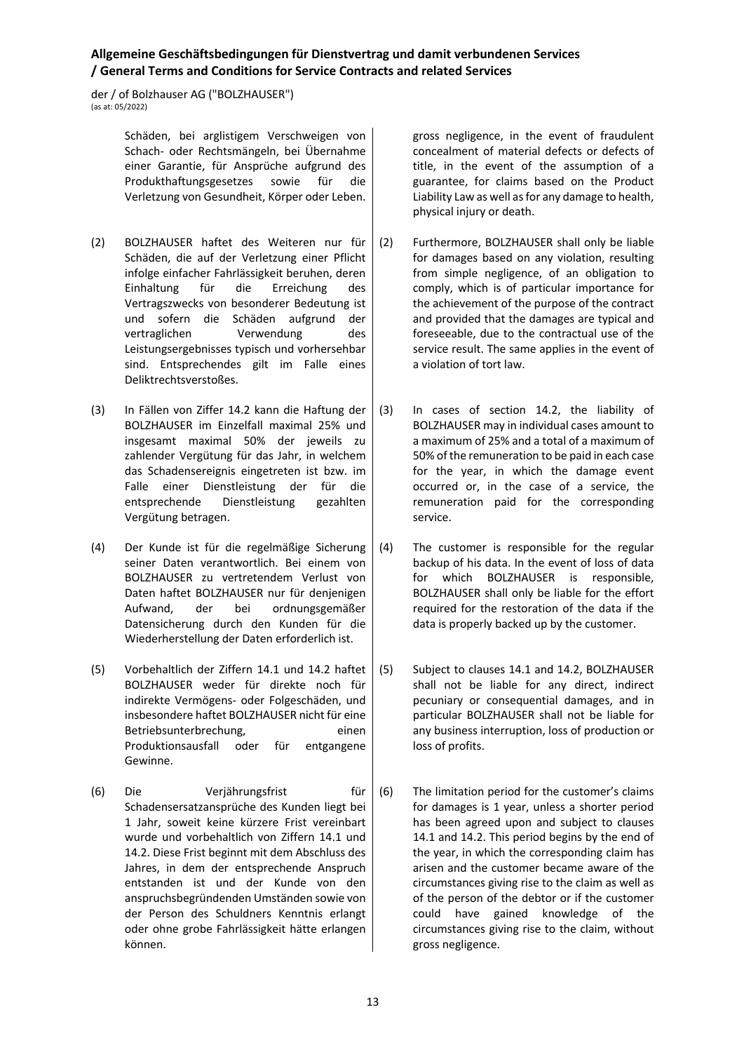der / of Bolzhauser AG ("BOLZHAUSER")  $\frac{1}{2}$  (as at: 05/2022)

> Schäden, bei arglistigem Verschweigen von Schach- oder Rechtsmängeln, bei Übernahme einer Garantie, für Ansprüche aufgrund des Produkthaftungsgesetzes sowie für die Verletzung von Gesundheit, Körper oder Leben.

- (2) BOLZHAUSER haftet des Weiteren nur für Schäden, die auf der Verletzung einer Pflicht infolge einfacher Fahrlässigkeit beruhen, deren Einhaltung für die Erreichung des Vertragszwecks von besonderer Bedeutung ist und sofern die Schäden aufgrund der vertraglichen Verwendung des Leistungsergebnisses typisch und vorhersehbar sind. Entsprechendes gilt im Falle eines Deliktrechtsverstoßes.
- (3) In Fällen von Ziffer 14.2 kann die Haftung der BOLZHAUSER im Einzelfall maximal 25% und insgesamt maximal 50% der jeweils zu zahlender Vergütung für das Jahr, in welchem das Schadensereignis eingetreten ist bzw. im Falle einer Dienstleistung der für die entsprechende Dienstleistung gezahlten Vergütung betragen.
- (4) Der Kunde ist für die regelmäßige Sicherung seiner Daten verantwortlich. Bei einem von BOLZHAUSER zu vertretendem Verlust von Daten haftet BOLZHAUSER nur für denjenigen Aufwand, der bei ordnungsgemäßer Datensicherung durch den Kunden für die Wiederherstellung der Daten erforderlich ist.
- (5) Vorbehaltlich der Ziffern 14.1 und 14.2 haftet BOLZHAUSER weder für direkte noch für indirekte Vermögens- oder Folgeschäden, und insbesondere haftet BOLZHAUSER nicht für eine Betriebsunterbrechung, einen Produktionsausfall oder für entgangene Gewinne.
- (6) Die Verjährungsfrist für Schadensersatzansprüche des Kunden liegt bei 1 Jahr, soweit keine kürzere Frist vereinbart wurde und vorbehaltlich von Ziffern 14.1 und 14.2. Diese Frist beginnt mit dem Abschluss des Jahres, in dem der entsprechende Anspruch entstanden ist und der Kunde von den anspruchsbegründenden Umständen sowie von der Person des Schuldners Kenntnis erlangt oder ohne grobe Fahrlässigkeit hätte erlangen können.

gross negligence, in the event of fraudulent concealment of material defects or defects of title, in the event of the assumption of a guarantee, for claims based on the Product Liability Law as well as for any damage to health, physical injury or death.

- (2) Furthermore, BOLZHAUSER shall only be liable for damages based on any violation, resulting from simple negligence, of an obligation to comply, which is of particular importance for the achievement of the purpose of the contract and provided that the damages are typical and foreseeable, due to the contractual use of the service result. The same applies in the event of a violation of tort law.
- (3) In cases of section 14.2, the liability of BOLZHAUSER may in individual cases amount to a maximum of 25% and a total of a maximum of 50% of the remuneration to be paid in each case for the year, in which the damage event occurred or, in the case of a service, the remuneration paid for the corresponding service.
- (4) The customer is responsible for the regular backup of his data. In the event of loss of data for which BOLZHAUSER is responsible, BOLZHAUSER shall only be liable for the effort required for the restoration of the data if the data is properly backed up by the customer.
- (5) Subject to clauses 14.1 and 14.2, BOLZHAUSER shall not be liable for any direct, indirect pecuniary or consequential damages, and in particular BOLZHAUSER shall not be liable for any business interruption, loss of production or loss of profits.
- (6) The limitation period for the customer's claims for damages is 1 year, unless a shorter period has been agreed upon and subject to clauses 14.1 and 14.2. This period begins by the end of the year, in which the corresponding claim has arisen and the customer became aware of the circumstances giving rise to the claim as well as of the person of the debtor or if the customer could have gained knowledge of the circumstances giving rise to the claim, without gross negligence.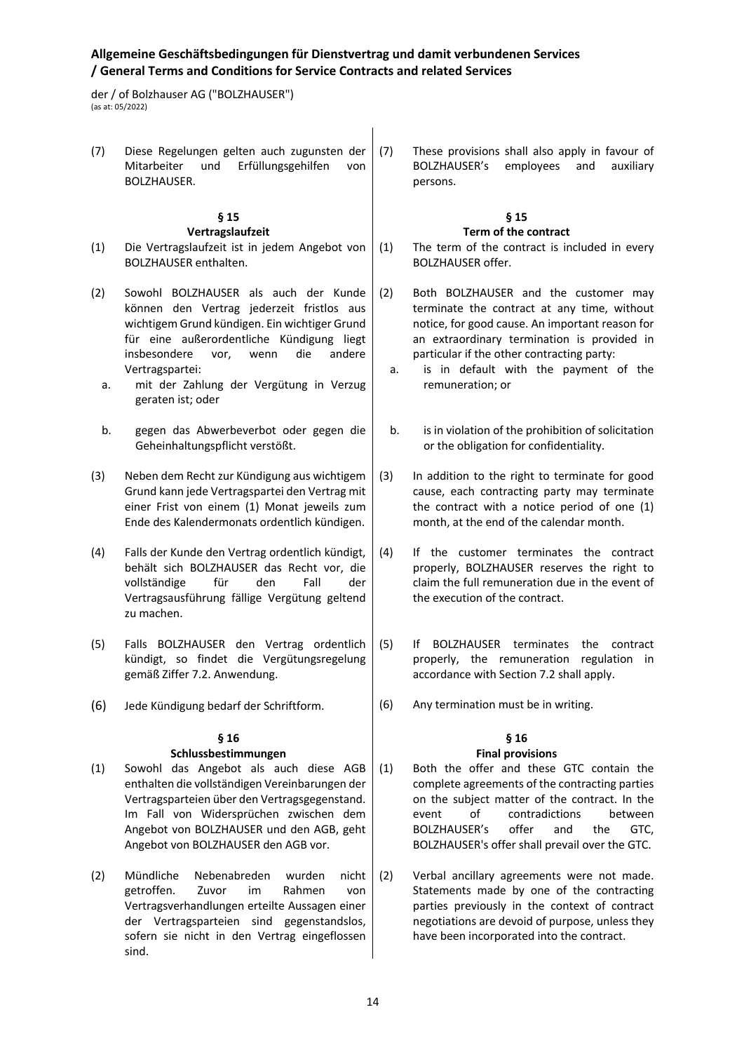der / of Bolzhauser AG ("BOLZHAUSER") (as at: 05/2022)

(7) Diese Regelungen gelten auch zugunsten der Mitarbeiter und Erfüllungsgehilfen von BOLZHAUSER. (7) These provisions shall also apply in favour of BOLZHAUSER's employees and auxiliary persons.

### **§ 15 Vertragslaufzeit**

- (1) Die Vertragslaufzeit ist in jedem Angebot von BOLZHAUSER enthalten.
- (2) Sowohl BOLZHAUSER als auch der Kunde können den Vertrag jederzeit fristlos aus wichtigem Grund kündigen. Ein wichtiger Grund für eine außerordentliche Kündigung liegt insbesondere vor, wenn die andere Vertragspartei:
	- a. mit der Zahlung der Vergütung in Verzug geraten ist; oder
	- b. gegen das Abwerbeverbot oder gegen die Geheinhaltungspflicht verstößt.
- (3) Neben dem Recht zur Kündigung aus wichtigem Grund kann jede Vertragspartei den Vertrag mit einer Frist von einem (1) Monat jeweils zum Ende des Kalendermonats ordentlich kündigen.
- (4) Falls der Kunde den Vertrag ordentlich kündigt, behält sich BOLZHAUSER das Recht vor, die vollständige für den Fall der Vertragsausführung fällige Vergütung geltend zu machen.
- (5) Falls BOLZHAUSER den Vertrag ordentlich kündigt, so findet die Vergütungsregelung gemäß Ziffer 7.2. Anwendung.
- (6) Jede Kündigung bedarf der Schriftform.

### **§ 16**

## **Schlussbestimmungen**

- (1) Sowohl das Angebot als auch diese AGB enthalten die vollständigen Vereinbarungen der Vertragsparteien über den Vertragsgegenstand. Im Fall von Widersprüchen zwischen dem Angebot von BOLZHAUSER und den AGB, geht Angebot von BOLZHAUSER den AGB vor.
- (2) Mündliche Nebenabreden wurden nicht getroffen. Zuvor im Rahmen von Vertragsverhandlungen erteilte Aussagen einer der Vertragsparteien sind gegenstandslos, sofern sie nicht in den Vertrag eingeflossen sind.

### **§ 15 Term of the contract**

(1) The term of the contract is included in every BOLZHAUSER offer.

- (2) Both BOLZHAUSER and the customer may terminate the contract at any time, without notice, for good cause. An important reason for an extraordinary termination is provided in particular if the other contracting party:
	- a. is in default with the payment of the remuneration; or
	- b. is in violation of the prohibition of solicitation or the obligation for confidentiality.
- (3) In addition to the right to terminate for good cause, each contracting party may terminate the contract with a notice period of one (1) month, at the end of the calendar month.
- (4) If the customer terminates the contract properly, BOLZHAUSER reserves the right to claim the full remuneration due in the event of the execution of the contract.
- (5) If BOLZHAUSER terminates the contract properly, the remuneration regulation in accordance with Section 7.2 shall apply.
- (6) Any termination must be in writing.

# **§ 16**

## **Final provisions**

- (1) Both the offer and these GTC contain the complete agreements of the contracting parties on the subject matter of the contract. In the event of contradictions between BOLZHAUSER's offer and the GTC, BOLZHAUSER's offer shall prevail over the GTC.
- (2) Verbal ancillary agreements were not made. Statements made by one of the contracting parties previously in the context of contract negotiations are devoid of purpose, unless they have been incorporated into the contract.